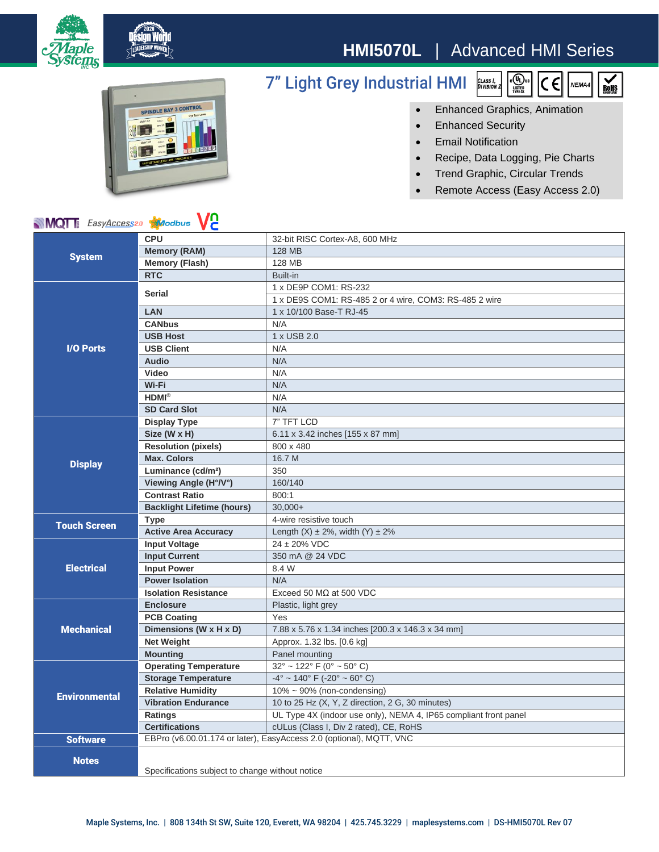

## **HMI5070L** | Advanced HMI Series



## 7" Light Grey Industrial HMI



 $\sum_{\text{ROHS}}$ 



- Enhanced Security
- Email Notification
- Recipe, Data Logging, Pie Charts
- Trend Graphic, Circular Trends
- Remote Access (Easy Access 2.0)

## **MQT** EasyAccess20 Maodbus VC

| <b>NIVIQI</b> & <i>Easy<u>Access</u></i> 20<br><b>AV</b> IODUS<br>VC. |                                                                     |                                                                  |
|-----------------------------------------------------------------------|---------------------------------------------------------------------|------------------------------------------------------------------|
| <b>System</b>                                                         | <b>CPU</b>                                                          | 32-bit RISC Cortex-A8, 600 MHz                                   |
|                                                                       | <b>Memory (RAM)</b>                                                 | <b>128 MB</b>                                                    |
|                                                                       | <b>Memory (Flash)</b>                                               | <b>128 MB</b>                                                    |
|                                                                       | <b>RTC</b>                                                          | Built-in                                                         |
| <b>I/O Ports</b>                                                      | <b>Serial</b>                                                       | 1 x DE9P COM1: RS-232                                            |
|                                                                       |                                                                     | 1 x DE9S COM1: RS-485 2 or 4 wire, COM3: RS-485 2 wire           |
|                                                                       | <b>LAN</b>                                                          | 1 x 10/100 Base-T RJ-45                                          |
|                                                                       | <b>CANbus</b>                                                       | N/A                                                              |
|                                                                       | <b>USB Host</b>                                                     | 1 x USB 2.0                                                      |
|                                                                       | <b>USB Client</b>                                                   | N/A                                                              |
|                                                                       | <b>Audio</b>                                                        | N/A                                                              |
|                                                                       | Video                                                               | N/A                                                              |
|                                                                       | Wi-Fi                                                               | N/A                                                              |
|                                                                       | $HDMI^{\otimes}$                                                    | N/A                                                              |
|                                                                       | <b>SD Card Slot</b>                                                 | N/A                                                              |
| <b>Display</b>                                                        | <b>Display Type</b>                                                 | 7" TFT LCD                                                       |
|                                                                       | Size (W x H)                                                        | 6.11 x 3.42 inches [155 x 87 mm]                                 |
|                                                                       | <b>Resolution (pixels)</b>                                          | 800 x 480                                                        |
|                                                                       | <b>Max. Colors</b>                                                  | 16.7 M                                                           |
|                                                                       | Luminance (cd/m <sup>2</sup> )                                      | 350                                                              |
|                                                                       | Viewing Angle (H°/V°)                                               | 160/140                                                          |
|                                                                       | <b>Contrast Ratio</b>                                               | 800:1                                                            |
|                                                                       | <b>Backlight Lifetime (hours)</b>                                   | $30.000+$                                                        |
| <b>Touch Screen</b>                                                   | <b>Type</b>                                                         | 4-wire resistive touch                                           |
|                                                                       | <b>Active Area Accuracy</b>                                         | Length $(X) \pm 2\%$ , width $(Y) \pm 2\%$                       |
| <b>Electrical</b>                                                     | <b>Input Voltage</b>                                                | $24 \pm 20\%$ VDC                                                |
|                                                                       | <b>Input Current</b>                                                | 350 mA @ 24 VDC                                                  |
|                                                                       | <b>Input Power</b>                                                  | 8.4 W                                                            |
|                                                                       | <b>Power Isolation</b>                                              | N/A                                                              |
|                                                                       | <b>Isolation Resistance</b>                                         | Exceed 50 M $\Omega$ at 500 VDC                                  |
| <b>Mechanical</b>                                                     | <b>Enclosure</b>                                                    | Plastic, light grey                                              |
|                                                                       | <b>PCB Coating</b>                                                  | Yes                                                              |
|                                                                       | Dimensions (W x H x D)                                              | 7.88 x 5.76 x 1.34 inches [200.3 x 146.3 x 34 mm]                |
|                                                                       | <b>Net Weight</b>                                                   | Approx. 1.32 lbs. [0.6 kg]                                       |
|                                                                       | <b>Mounting</b>                                                     | Panel mounting                                                   |
| <b>Environmental</b>                                                  | <b>Operating Temperature</b>                                        | $32^{\circ}$ ~ 122° F (0° ~ 50° C)                               |
|                                                                       | <b>Storage Temperature</b>                                          | $-4^{\circ}$ ~ 140° F (-20° ~ 60° C)                             |
|                                                                       | <b>Relative Humidity</b>                                            | $10\% \sim 90\%$ (non-condensing)                                |
|                                                                       | <b>Vibration Endurance</b>                                          | 10 to 25 Hz (X, Y, Z direction, 2 G, 30 minutes)                 |
|                                                                       | Ratings                                                             | UL Type 4X (indoor use only), NEMA 4, IP65 compliant front panel |
|                                                                       | <b>Certifications</b>                                               | cULus (Class I, Div 2 rated), CE, RoHS                           |
| <b>Software</b>                                                       | EBPro (v6.00.01.174 or later), EasyAccess 2.0 (optional), MQTT, VNC |                                                                  |
| <b>Notes</b>                                                          |                                                                     |                                                                  |
|                                                                       |                                                                     |                                                                  |
|                                                                       | Specifications subject to change without notice                     |                                                                  |